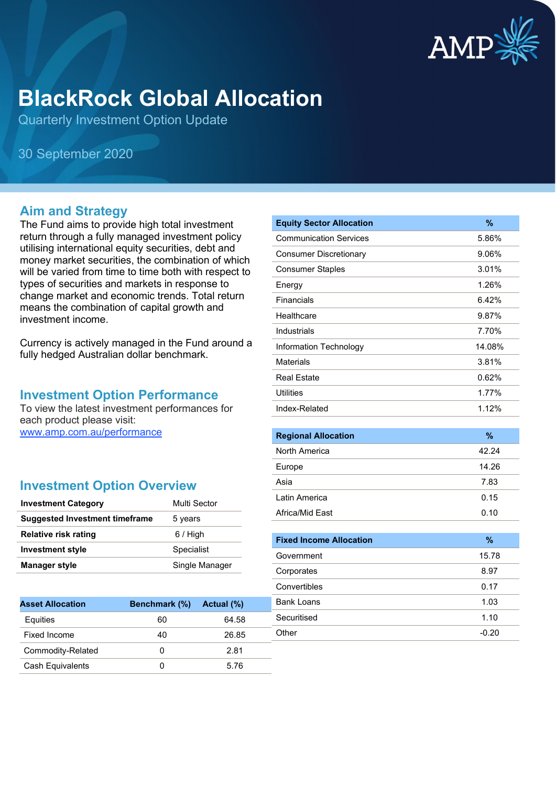

# **BlackRock Global Allocation**

Quarterly Investment Option Update

30 September 2020

### **Aim and Strategy**

The Fund aims to provide high total investment return through a fully managed investment policy utilising international equity securities, debt and money market securities, the combination of which will be varied from time to time both with respect to types of securities and markets in response to change market and economic trends. Total return means the combination of capital growth and investment income.

Currency is actively managed in the Fund around a fully hedged Australian dollar benchmark.

#### **Investment Option Performance**

To view the latest investment performances for each product please visit: [www.amp.com.au/performance](https://www.amp.com.au/performance)

## **Investment Option Overview**

| <b>Investment Category</b>            | Multi Sector   |
|---------------------------------------|----------------|
| <b>Suggested Investment timeframe</b> | 5 years        |
| <b>Relative risk rating</b>           | $6/$ High      |
| <b>Investment style</b>               | Specialist     |
| <b>Manager style</b>                  | Single Manager |

| <b>Asset Allocation</b> | <b>Benchmark</b> (%) | Actual (%) |
|-------------------------|----------------------|------------|
| Equities                | 60                   | 64.58      |
| Fixed Income            | 40                   | 26.85      |
| Commodity-Related       | 0                    | 2.81       |
| <b>Cash Equivalents</b> |                      | 5.76       |

| <b>Equity Sector Allocation</b> | %      |
|---------------------------------|--------|
| <b>Communication Services</b>   | 5.86%  |
| <b>Consumer Discretionary</b>   | 9.06%  |
| <b>Consumer Staples</b>         | 3.01%  |
| Energy                          | 1.26%  |
| Financials                      | 6.42%  |
| Healthcare                      | 9.87%  |
| Industrials                     | 7.70%  |
| Information Technology          | 14.08% |
| Materials                       | 3.81%  |
| <b>Real Estate</b>              | 0.62%  |
| Utilities                       | 1.77%  |
| Index-Related                   | 1.12%  |
|                                 |        |

| <b>Regional Allocation</b> | $\%$  |
|----------------------------|-------|
| North America              | 42.24 |
| Europe                     | 14.26 |
| Asia                       | 7.83  |
| Latin America              | 0.15  |
| Africa/Mid East            | 0.10  |

| <b>Fixed Income Allocation</b> | $\%$    |
|--------------------------------|---------|
| Government                     | 15.78   |
| Corporates                     | 8.97    |
| Convertibles                   | 0.17    |
| Bank Loans                     | 1.03    |
| Securitised                    | 1.10    |
| Other                          | $-0.20$ |
|                                |         |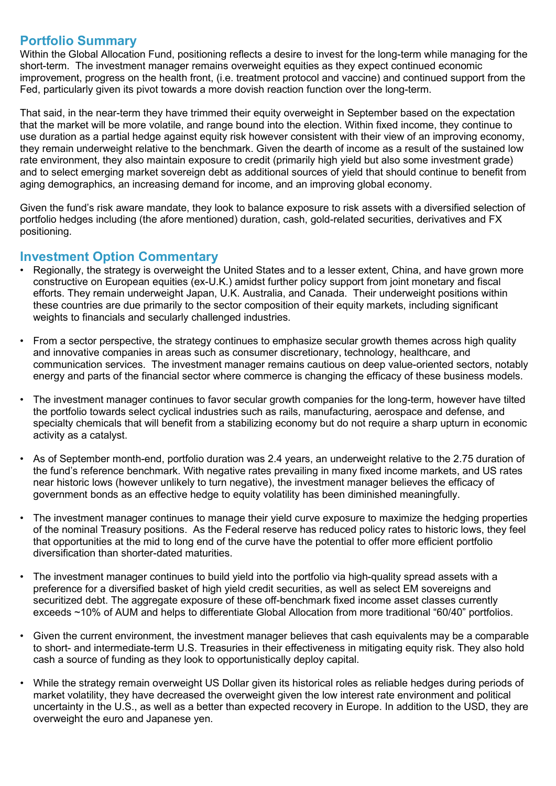### **Portfolio Summary**

Within the Global Allocation Fund, positioning reflects a desire to invest for the long-term while managing for the short-term. The investment manager remains overweight equities as they expect continued economic improvement, progress on the health front, (i.e. treatment protocol and vaccine) and continued support from the Fed, particularly given its pivot towards a more dovish reaction function over the long-term.

That said, in the near-term they have trimmed their equity overweight in September based on the expectation that the market will be more volatile, and range bound into the election. Within fixed income, they continue to use duration as a partial hedge against equity risk however consistent with their view of an improving economy, they remain underweight relative to the benchmark. Given the dearth of income as a result of the sustained low rate environment, they also maintain exposure to credit (primarily high yield but also some investment grade) and to select emerging market sovereign debt as additional sources of yield that should continue to benefit from aging demographics, an increasing demand for income, and an improving global economy.

Given the fund's risk aware mandate, they look to balance exposure to risk assets with a diversified selection of portfolio hedges including (the afore mentioned) duration, cash, gold-related securities, derivatives and FX positioning.

### **Investment Option Commentary**

- Regionally, the strategy is overweight the United States and to a lesser extent, China, and have grown more constructive on European equities (ex-U.K.) amidst further policy support from joint monetary and fiscal efforts. They remain underweight Japan, U.K. Australia, and Canada. Their underweight positions within these countries are due primarily to the sector composition of their equity markets, including significant weights to financials and secularly challenged industries.
- From a sector perspective, the strategy continues to emphasize secular growth themes across high quality and innovative companies in areas such as consumer discretionary, technology, healthcare, and communication services. The investment manager remains cautious on deep value-oriented sectors, notably energy and parts of the financial sector where commerce is changing the efficacy of these business models.
- The investment manager continues to favor secular growth companies for the long-term, however have tilted the portfolio towards select cyclical industries such as rails, manufacturing, aerospace and defense, and specialty chemicals that will benefit from a stabilizing economy but do not require a sharp upturn in economic activity as a catalyst.
- As of September month-end, portfolio duration was 2.4 years, an underweight relative to the 2.75 duration of the fund's reference benchmark. With negative rates prevailing in many fixed income markets, and US rates near historic lows (however unlikely to turn negative), the investment manager believes the efficacy of government bonds as an effective hedge to equity volatility has been diminished meaningfully.
- The investment manager continues to manage their yield curve exposure to maximize the hedging properties of the nominal Treasury positions. As the Federal reserve has reduced policy rates to historic lows, they feel that opportunities at the mid to long end of the curve have the potential to offer more efficient portfolio diversification than shorter-dated maturities.
- The investment manager continues to build yield into the portfolio via high-quality spread assets with a preference for a diversified basket of high yield credit securities, as well as select EM sovereigns and securitized debt. The aggregate exposure of these off-benchmark fixed income asset classes currently exceeds ~10% of AUM and helps to differentiate Global Allocation from more traditional "60/40" portfolios.
- Given the current environment, the investment manager believes that cash equivalents may be a comparable to short- and intermediate-term U.S. Treasuries in their effectiveness in mitigating equity risk. They also hold cash a source of funding as they look to opportunistically deploy capital.
- While the strategy remain overweight US Dollar given its historical roles as reliable hedges during periods of market volatility, they have decreased the overweight given the low interest rate environment and political uncertainty in the U.S., as well as a better than expected recovery in Europe. In addition to the USD, they are overweight the euro and Japanese yen.